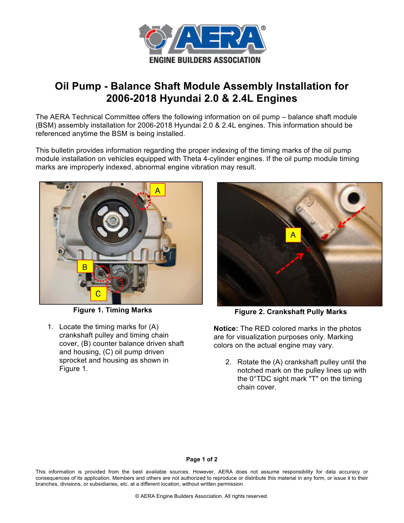

## **Oil Pump - Balance Shaft Module Assembly Installation for 2006-2018 Hyundai 2.0 & 2.4L Engines**

The AERA Technical Committee offers the following information on oil pump – balance shaft module (BSM) assembly installation for 2006-2018 Hyundai 2.0 & 2.4L engines. This information should be referenced anytime the BSM is being installed.

This bulletin provides information regarding the proper indexing of the timing marks of the oil pump module installation on vehicles equipped with Theta 4-cylinder engines. If the oil pump module timing marks are improperly indexed, abnormal engine vibration may result.



**Figure 1. Timing Marks**

1. Locate the timing marks for (A) crankshaft pulley and timing chain cover, (B) counter balance driven shaft and housing, (C) oil pump driven sprocket and housing as shown in Figure 1.



**Figure 2. Crankshaft Pully Marks**

**Notice:** The RED colored marks in the photos are for visualization purposes only. Marking colors on the actual engine may vary.

2. Rotate the (A) crankshaft pulley until the notched mark on the pulley lines up with the 0°TDC sight mark "T" on the timing chain cover.

## **Page 1 of 2**

This information is provided from the best available sources. However, AERA does not assume responsibility for data accuracy or consequences of its application. Members and others are not authorized to reproduce or distribute this material in any form, or issue it to their branches, divisions, or subsidiaries, etc. at a different location, without written permission.